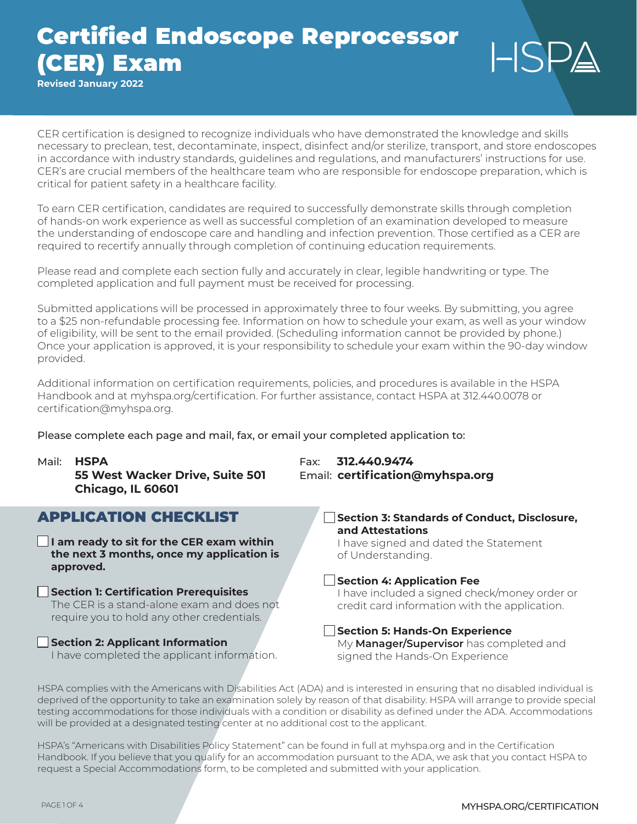**Revised January 2022**

CER certification is designed to recognize individuals who have demonstrated the knowledge and skills necessary to preclean, test, decontaminate, inspect, disinfect and/or sterilize, transport, and store endoscopes in accordance with industry standards, guidelines and regulations, and manufacturers' instructions for use. CER's are crucial members of the healthcare team who are responsible for endoscope preparation, which is critical for patient safety in a healthcare facility.

To earn CER certification, candidates are required to successfully demonstrate skills through completion of hands-on work experience as well as successful completion of an examination developed to measure the understanding of endoscope care and handling and infection prevention. Those certified as a CER are required to recertify annually through completion of continuing education requirements.

Please read and complete each section fully and accurately in clear, legible handwriting or type. The completed application and full payment must be received for processing.

Submitted applications will be processed in approximately three to four weeks. By submitting, you agree to a \$25 non-refundable processing fee. Information on how to schedule your exam, as well as your window of eligibility, will be sent to the email provided. (Scheduling information cannot be provided by phone.) Once your application is approved, it is your responsibility to schedule your exam within the 90-day window provided.

Additional information on certification requirements, policies, and procedures is available in the HSPA Handbook and at myhspa.org/certification. For further assistance, contact HSPA at 312.440.0078 or certification@myhspa.org.

Please complete each page and mail, fax, or email your completed application to:

Mail: **HSPA** Fax: **312.440.9474 55 West Wacker Drive, Suite 501** Email: **certification@myhspa.org Chicago, IL 60601** APPLICATION CHECKLIST **I am ready to sit for the CER exam within the next 3 months, once my application is approved. Section 1: Certification Prerequisites** The CER is a stand-alone exam and does not require you to hold any other credentials. **Section 3: Standards of Conduct, Disclosure, and Attestations** of Understanding. **Section 4: Application Fee** credit card information with the application.

**Section 2: Applicant Information**

I have completed the applicant information.

# I have signed and dated the Statement I have included a signed check/money order or

**Section 5: Hands-On Experience** My **Manager/Supervisor** has completed and signed the Hands-On Experience

HSPA complies with the Americans with Disabilities Act (ADA) and is interested in ensuring that no disabled individual is deprived of the opportunity to take an examination solely by reason of that disability. HSPA will arrange to provide special testing accommodations for those individuals with a condition or disability as defined under the ADA. Accommodations will be provided at a designated testing center at no additional cost to the applicant.

HSPA's "Americans with Disabilities Policy Statement" can be found in full at myhspa.org and in the Certification Handbook. If you believe that you qualify for an accommodation pursuant to the ADA, we ask that you contact HSPA to request a Special Accommodations form, to be completed and submitted with your application.

 $L$ SP $\triangle$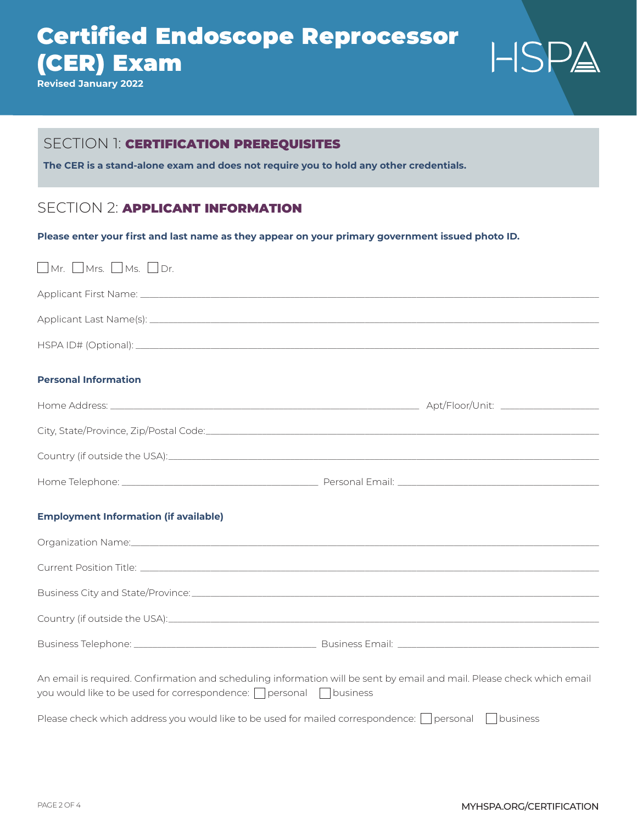**Revised January 2022**

# $HSPA$

### SECTION 1: **CERTIFICATION PREREQUISITES**

**The CER is a stand-alone exam and does not require you to hold any other credentials.**

## SECTION 2: **APPLICANT INFORMATION**

**Please enter your first and last name as they appear on your primary government issued photo ID.**

| $\Box$ Mr. $\Box$ Mrs. $\Box$ Ms. $\Box$ Dr.                                                                                                                                                  |  |  |
|-----------------------------------------------------------------------------------------------------------------------------------------------------------------------------------------------|--|--|
|                                                                                                                                                                                               |  |  |
|                                                                                                                                                                                               |  |  |
|                                                                                                                                                                                               |  |  |
| <b>Personal Information</b>                                                                                                                                                                   |  |  |
|                                                                                                                                                                                               |  |  |
|                                                                                                                                                                                               |  |  |
| Country (if outside the USA): Country (if outside the USA):                                                                                                                                   |  |  |
|                                                                                                                                                                                               |  |  |
| <b>Employment Information (if available)</b>                                                                                                                                                  |  |  |
| Organization Name: 1988 and 2008 and 2008 and 2008 and 2010 and 2010 and 2010 and 2010 and 2010 and 2010 and 20                                                                               |  |  |
|                                                                                                                                                                                               |  |  |
|                                                                                                                                                                                               |  |  |
|                                                                                                                                                                                               |  |  |
|                                                                                                                                                                                               |  |  |
| An email is required. Confirmation and scheduling information will be sent by email and mail. Please check which email<br>you would like to be used for correspondence: □ personal □ business |  |  |
| Please check which address you would like to be used for mailed correspondence: $\bigcap$ personal $\bigcap$ business                                                                         |  |  |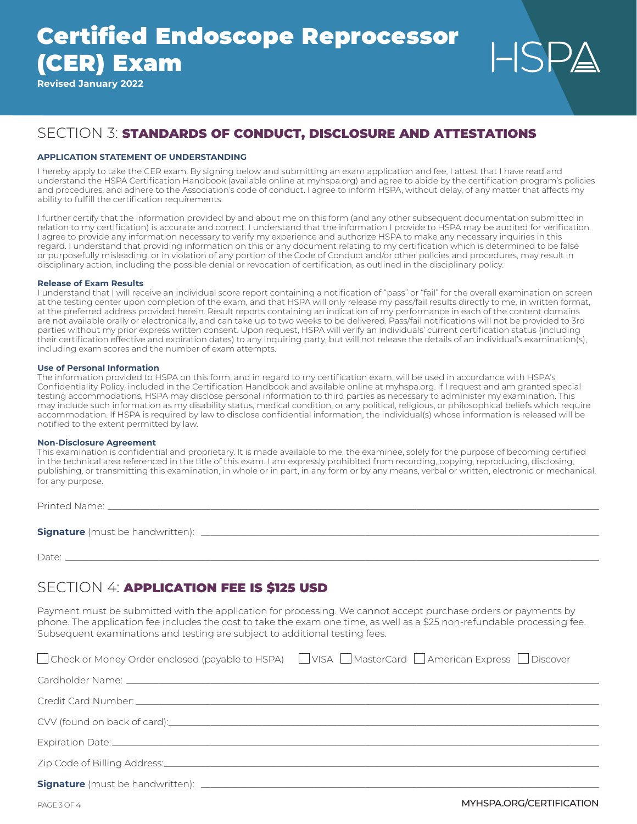**Revised January 2022**

## SECTION 3: STANDARDS OF CONDUCT, DISCLOSURE AND ATTESTATIONS

#### **APPLICATION STATEMENT OF UNDERSTANDING**

I hereby apply to take the CER exam. By signing below and submitting an exam application and fee, I attest that I have read and understand the HSPA Certification Handbook (available online at myhspa.org) and agree to abide by the certification program's policies and procedures, and adhere to the Association's code of conduct. I agree to inform HSPA, without delay, of any matter that affects my ability to fulfill the certification requirements.

I further certify that the information provided by and about me on this form (and any other subsequent documentation submitted in relation to my certification) is accurate and correct. I understand that the information I provide to HSPA may be audited for verification. I agree to provide any information necessary to verify my experience and authorize HSPA to make any necessary inquiries in this regard. I understand that providing information on this or any document relating to my certification which is determined to be false or purposefully misleading, or in violation of any portion of the Code of Conduct and/or other policies and procedures, may result in disciplinary action, including the possible denial or revocation of certification, as outlined in the disciplinary policy.

#### **Release of Exam Results**

I understand that I will receive an individual score report containing a notification of "pass" or "fail" for the overall examination on screen at the testing center upon completion of the exam, and that HSPA will only release my pass/fail results directly to me, in written format, at the preferred address provided herein. Result reports containing an indication of my performance in each of the content domains are not available orally or electronically, and can take up to two weeks to be delivered. Pass/fail notifications will not be provided to 3rd parties without my prior express written consent. Upon request, HSPA will verify an individuals' current certification status (including their certification effective and expiration dates) to any inquiring party, but will not release the details of an individual's examination(s), including exam scores and the number of exam attempts.

#### **Use of Personal Information**

The information provided to HSPA on this form, and in regard to my certification exam, will be used in accordance with HSPA's Confidentiality Policy, included in the Certification Handbook and available online at myhspa.org. If I request and am granted special testing accommodations, HSPA may disclose personal information to third parties as necessary to administer my examination. This may include such information as my disability status, medical condition, or any political, religious, or philosophical beliefs which require accommodation. If HSPA is required by law to disclose confidential information, the individual(s) whose information is released will be notified to the extent permitted by law.

#### **Non-Disclosure Agreement**

This examination is confidential and proprietary. It is made available to me, the examinee, solely for the purpose of becoming certified in the technical area referenced in the title of this exam. I am expressly prohibited from recording, copying, reproducing, disclosing, publishing, or transmitting this examination, in whole or in part, in any form or by any means, verbal or written, electronic or mechanical, for any purpose.

Printed Name: \_

**Signature** (must be handwritten): \_\_\_\_\_\_\_\_\_\_\_\_\_\_\_\_\_\_\_\_\_\_\_\_\_\_\_\_\_\_\_\_\_\_\_\_\_\_\_\_\_\_\_\_\_\_\_\_\_\_\_\_\_\_\_\_\_\_\_\_\_\_\_\_\_\_\_\_\_\_\_\_\_\_\_\_\_\_\_\_\_\_\_\_\_

Date: \_\_\_\_\_\_\_\_\_\_\_\_\_\_\_\_\_\_\_\_\_\_\_\_\_\_\_\_\_\_\_\_\_\_\_\_\_\_\_\_\_\_\_\_\_\_\_\_\_\_\_\_\_\_\_\_\_\_\_\_\_\_\_\_\_\_\_\_\_\_\_\_\_\_\_\_\_\_\_\_\_\_\_\_\_\_\_\_\_\_\_\_\_\_\_\_\_\_\_\_\_\_\_\_\_\_\_\_\_\_\_\_\_\_

## SECTION 4: APPLICATION FEE IS \$125 USD

Payment must be submitted with the application for processing. We cannot accept purchase orders or payments by phone. The application fee includes the cost to take the exam one time, as well as a \$25 non-refundable processing fee. Subsequent examinations and testing are subject to additional testing fees.

|                                                                                                                | □ Check or Money Order enclosed (payable to HSPA) □ VISA □ MasterCard □ American Express □ Discover |
|----------------------------------------------------------------------------------------------------------------|-----------------------------------------------------------------------------------------------------|
|                                                                                                                |                                                                                                     |
|                                                                                                                |                                                                                                     |
| CVV (found on back of card): example and a series of contract of the series of the series of the series of the |                                                                                                     |
|                                                                                                                |                                                                                                     |
|                                                                                                                |                                                                                                     |
|                                                                                                                |                                                                                                     |

LISD,